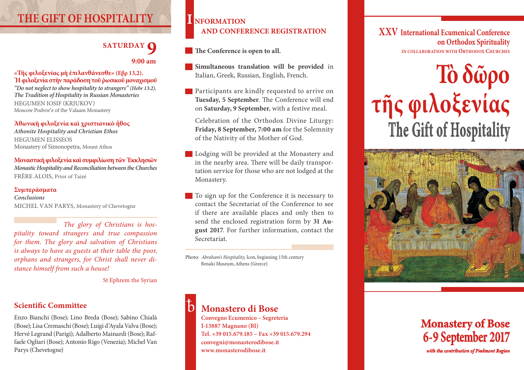# **THE GIFT OF HOSPITALITY**

# **SATURDAY 9:00 am**

#### **«Τῆς φιλοξενίας μὴ ἐπιλανθάνεσθε» (Εβρ 13,2). Ἡ φιλοξενία στὴν παράδοση τοῦ ῥωσικοῦ μοναχισμοῦ**

*"Do not neglect to show hospitality to strangers" (Hebr 13:2). The Tradition of Hospitality in Russian Monasteries* Hegumen Iosif (Krjukov) Moscow Podvor'e of the Valaam Monastery

#### **Ἀθωνικὴ φιλοξενία καὶ χριστιανικὸ ἦθος**

*Athonite Hospitality and Christian Ethos* Hegumen Elisseos Monastery of Simonopetra, Mount Athos

## **Μοναστικὴ φιλοξενία καὶ συμφιλίωση τῶν Ἐκκλησιῶν**

*Monastic Hospitality and Reconciliation between the Churches* FRÈRE ALOIS, Prior of Taizé

#### **Συμπεράσματα**

*Conclusions*  Michel Van Parys, Monastery of Chevetogne

*The glory of Christians is hospitality toward strangers and true compassion for them. The glory and salvation of Christians is always to have as guests at their table the poor, orphans and strangers, for Christ shall never distance himself from such a house!* 

St Ephrem the Syrian

## **Scientific Committee**

Enzo Bianchi (Bose); Lino Breda (Bose); Sabino Chialà (Bose); Lisa Cremaschi (Bose); Luigi d'Ayala Valva (Bose); Hervé Legrand (Parigi); Adalberto Mainardi (Bose); Raffaele Ogliari (Bose); Antonio Rigo (Venezia); Michel Van Parys (Chevetogne)

## **I nformation and conference registration**

**The Conference is open to all.** 

- **Simultaneous translation will be provided** in Italian, Greek, Russian, English, French.
- **Participants are kindly requested to arrive on Tuesday, 5 September**. The Conference will end on **Saturday, 9 September**, with a festive meal.

Celebration of the Orthodox Divine Liturgy: **Friday, 8 September, 7:00 am** for the Solemnity of the Nativity of the Mother of God.

Lodging will be provided at the Monastery and in the nearby area. There will be daily transportation service for those who are not lodged at the Monastery.

To sign up for the Conference it is necessary to contact the Secretariat of the Conference to see if there are available places and only then to send the enclosed registration form by **31 August 2017**. For further information, contact the Secretariat.

Photo: *Abraham's Hospitality,* Icon, beginning 15th century **Benaki Museum, Athens (Greece)** 

# **Monastero di Bose**

**Convegno Ecumenico – Segreteria I-13887 Magnano (BI) Tel. +39 015.679.185 – Fax +39 015.679.294 convegni@monasterodibose.it www.monasterodibose.it**

**XXV International Ecumenical Conference on Orthodox Spirituality in collaboratio n with Orthodox Churches**





## **Monastery of Bose 6- 9 September 2017** *with the contribution of Piedmont Region*